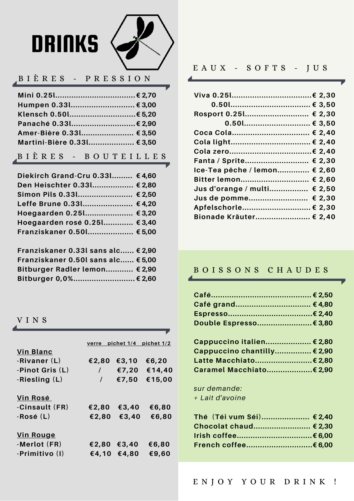# **DRINKS**



#### BIÈRES - PRESSION

| Mini 0.251€ 2,70          |  |
|---------------------------|--|
| Humpen 0.33l € 3,00       |  |
| Klensch 0.50l€ 5,20       |  |
| Panaché 0.331 € 2,90      |  |
| Amer-Bière 0.33l € 3,50   |  |
| Martini-Bière 0.331€ 3,50 |  |
|                           |  |

#### BIÈRES - BOUTEILLES

| Diekirch Grand-Cru 0.33l €4,60 |  |
|--------------------------------|--|
| Den Heischter 0.33l € 2,80     |  |
| Simon Pils 0.331 € 2,50        |  |
| Leffe Brune 0.331 €4,20        |  |
| Hoegaarden 0.251 € 3,20        |  |
| Hoegaarden rosé 0.25l € 3,40   |  |
| Franziskaner 0.50l € 5,00      |  |
|                                |  |

| Franziskaner 0.33l sans alc € 2,90 |  |
|------------------------------------|--|
| Franziskaner 0.50l sans alc € 5,00 |  |
| Bitburger Radler lemon € 2,90      |  |
| Bitburger 0,0% € 2,60              |  |

#### VINS

|                  | verre    | pichet 1/4 | pichet 1/2 |
|------------------|----------|------------|------------|
| <b>Vin Blanc</b> |          |            |            |
| -Rivaner (L)     | €2,80    | € $3,10$   | € $6,20$   |
| -Pinot Gris (L)  | $\prime$ | €7,20      | €14,40     |
| -Riesling (L)    | $\prime$ | €7,50      | €15,00     |
|                  |          |            |            |
| Vin Rosé         |          |            |            |
| -Cinsault (FR)   | €2,80    | €3,40      | €6,80      |
| -Rosé (L)        | €2,80    | €3,40      | €6,80      |
|                  |          |            |            |
| <b>Vin Rouge</b> |          |            |            |
| -Merlot (FR)     | €2,80    | €3,40      | €6,80      |
| -Primitivo (I)   | €4,10    | €4,80      | €9,60      |
|                  |          |            |            |

#### $E A U X - S O F T S - J U S$

| Rosport 0.251 € 2,30         |  |
|------------------------------|--|
| $0.501$ € 3,50               |  |
| Coca Cola € 2,40             |  |
| Cola light € 2,40            |  |
|                              |  |
| Fanta / Sprite € 2,30        |  |
| Ice-Tea pêche / lemon € 2,60 |  |
| Bitter lemon € 2,60          |  |
| Jus d'orange / multi € 2,50  |  |
| Jus de pomme € 2,30          |  |
| Apfelschorle € 2,30          |  |
| Bionade Kräuter € 2,40       |  |
|                              |  |

#### BOISSONS CHAUDES

| Café……………………………………… € 2,50  |  |
|-----------------------------|--|
| Café grand €4,80            |  |
|                             |  |
| Double Espresso€ 3,80       |  |
|                             |  |
| Cappuccino italien € 2,80   |  |
| Cappuccino chantilly € 2,90 |  |
| Latte Macchiato€ 2,80       |  |
| Caramel Macchiato€ 2,90     |  |
|                             |  |

sur demande: + Lait d'avoine

| Thé (Téi vum Séi) € 2,40 |  |
|--------------------------|--|
| Chocolat chaud € 2,30    |  |
| Irish coffee€ 6,00       |  |
| French coffee€ 6,00      |  |
|                          |  |

#### ENJOY YOUR DRINK !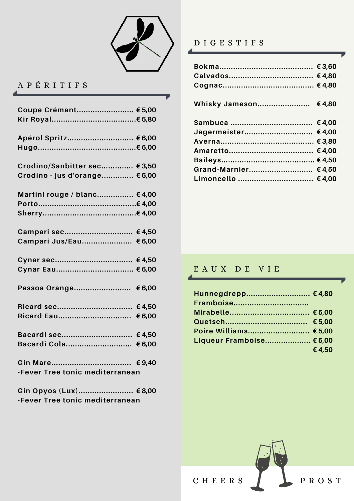

## APÉRITIFS

| Coupe Crémant € 5,00            |        |
|---------------------------------|--------|
|                                 |        |
|                                 |        |
|                                 |        |
| Apérol Spritz € 6,00            |        |
|                                 |        |
|                                 |        |
| Crodino/Sanbitter sec € 3,50    |        |
| Crodino - jus d'orange € 5,00   |        |
|                                 |        |
| Martini rouge / blanc €4,00     |        |
|                                 |        |
|                                 |        |
|                                 |        |
| Campari sec €4,50               |        |
| Campari Jus/Eau €6,00           |        |
|                                 |        |
| Cynar sec €4,50                 |        |
| Cynar Eau € 6,00                |        |
|                                 |        |
| Passoa Orange €6,00             |        |
|                                 |        |
|                                 | €4,50  |
|                                 | €6,00  |
|                                 |        |
| Bacardi sec €4,50               |        |
| Bacardi Cola                    | € 6,00 |
|                                 |        |
| Gin Mare €9,40                  |        |
| -Fever Tree tonic mediterranean |        |
|                                 |        |

| Gin Opyos (Lux) € 8,00          |  |
|---------------------------------|--|
| -Fever Tree tonic mediterranean |  |

#### DIGESTIFS

| Whisky Jameson                           | €4,80 |
|------------------------------------------|-------|
| Jägermeister €4,00                       |       |
| Grand-Marnier €4,50<br>Limoncello  €4,00 |       |

#### EAUX DE VIE

| Hunnegdrepp €4,80        |       |
|--------------------------|-------|
|                          |       |
|                          |       |
|                          |       |
| Poire Williams € 5,00    |       |
| Liqueur Framboise € 5,00 |       |
|                          | €4,50 |

PROST

 $C$  H E E R S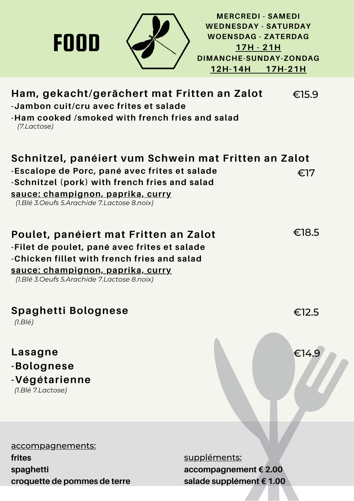

**croquette de pommes de terre**

**salade supplément € 1.00**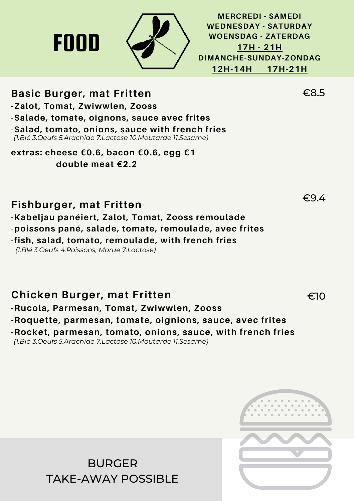

**MERCREDI - SAMEDI WEDNESDAY - SATURDAY WOENSDAG - ZATERDAG 17H - 21H DIMANCHE-SUNDAY-ZONDAG 12H-14H 17H-21H**

## **Basic Burger, mat Fritten**

FOOD

**-Zalot, Tomat, Zwiwwlen, Zooss**

**-Salade, tomate, oignons, sauce avec frites**

**-Salad, tomato, onions, sauce with french fries** *(1.Blé 3.Oeufs 5.Arachide 7.Lactose 10.Moutarde 11.Sesame)*

**extras: cheese €0.6, bacon €0.6, egg €1 double meat €2.2**

## **Fishburger, mat Fritten**

**-Kabeljau panéiert, Zalot, Tomat, Zooss remoulade -poissons pané, salade, tomate, remoulade, avec frites**

**-fish, salad, tomato, remoulade, with french fries**

*(1.Blé 3.Oeufs 4.Poissons, Morue 7.Lactose)*

### **Chicken Burger, mat Fritten**

**-Rucola, Parmesan, Tomat, Zwiwwlen, Zooss**

**-Roquette, parmesan, tomate, oignions, sauce, avec frites**

**-Rocket, parmesan, tomato, onions, sauce, with french fries** *(1.Blé 3.Oeufs 5.Arachide 7.Lactose 10.Moutarde 11.Sesame)*

> BURGER TAKE-AWAY POSSIBLE



€8.5

€9.4

€10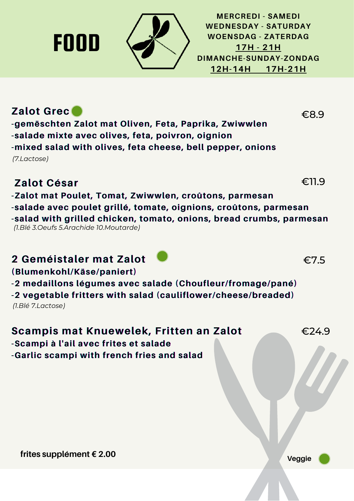

**2 Geméistaler mat Zalot**

**-Scampi à l'ail avec frites et salade**

**-Garlic scampi with french fries and salad**

**(Blumenkohl/Käse/paniert)**

*(1.Blé 7.Lactose)*



**-2 medaillons légumes avec salade (Choufleur/fromage/pané) -2 vegetable fritters with salad (cauliflower/cheese/breaded)**

**Scampis mat Knuewelek, Fritten an Zalot**

**-salade mixte avec olives, feta, poivron, oignion -mixed salad with olives, feta cheese, bell pepper, onions** *(7.Lactose)*

## **Zalot Grec**

FOOD

**MERCREDI - SAMEDI WEDNESDAY - SATURDAY WOENSDAG - ZATERDAG 17H - 21H DIMANCHE-SUNDAY-ZONDAG 12H-14H 17H-21H**

€8.9

€11.9

€7.5

€24.9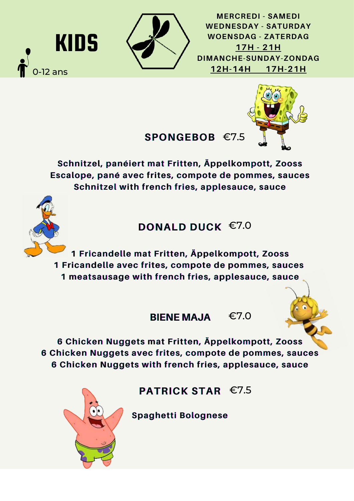

KIDS

 $-12$  ans

**MERCREDI - SAMEDI WEDNESDAY - SATURDAY WOENSDAG - ZATERDAG 17H - 21H DIMANCHE-SUNDAY-ZONDAG 12H-14H 17H-21H**

## **SPONGEBOB** €7.5



**Schnitzel, panéiert mat Fritten, Äppelkompott, Zooss Escalope, pané avec frites, compote de pommes, sauces Schnitzel with french fries, applesauce, sauce**

## **DONALD DUCK** €7.0

**1 Fricandelle mat Fritten, Äppelkompott, Zooss 1 Fricandelle avec frites, compote de pommes, sauces 1 meatsausage with french fries, applesauce, sauce**

#### **BIENE MAJA BIENE MAJA** €7.0



**PATRICK STAR** €7.5

**Spaghetti Bolognese**

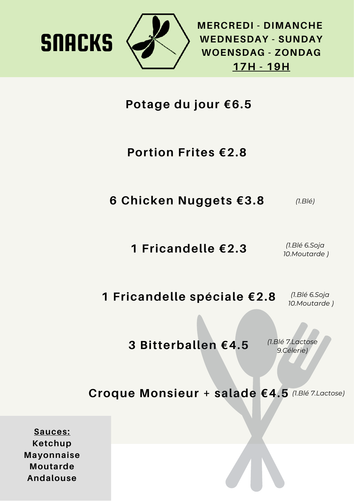

**SNACKS** 

**MERCREDI - DIMANCHE WEDNESDAY - SUNDAY WOENSDAG - ZONDAG 17H - 19H**

**Potage du jour €6.5**

## **Portion Frites €2.8**

**6 Chicken Nuggets €3.8**  *(1.Blé)*

> **1 Fricandelle €2.3** *(1.Blé 6.Soja 10.Moutarde )*

**1 Fricandelle spéciale €2.8** *(1.Blé 6.Soja 10.Moutarde )*

**3 Bitterballen €4.5**

*(1.Blé 7.Lactose 9.Célerie)*

**Croque Monsieur + salade €4.5** *(1.Blé 7.Lactose)*

**Sauces: Ketchup Mayonnaise Moutarde Andalouse**